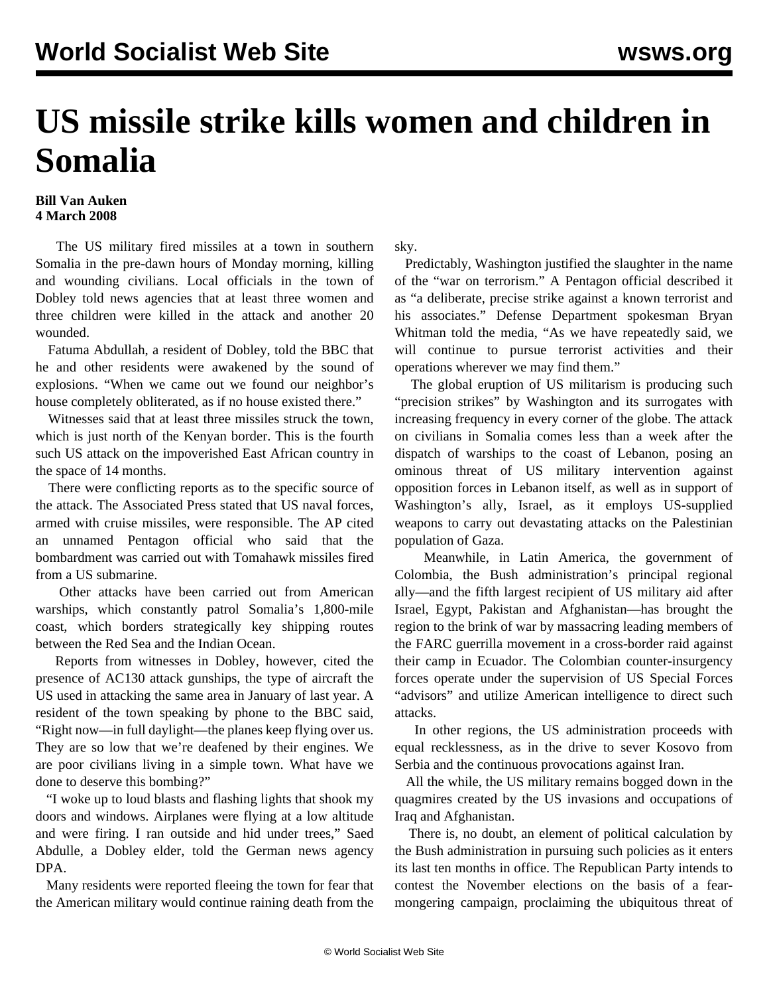## **US missile strike kills women and children in Somalia**

## **Bill Van Auken 4 March 2008**

 The US military fired missiles at a town in southern Somalia in the pre-dawn hours of Monday morning, killing and wounding civilians. Local officials in the town of Dobley told news agencies that at least three women and three children were killed in the attack and another 20 wounded.

 Fatuma Abdullah, a resident of Dobley, told the BBC that he and other residents were awakened by the sound of explosions. "When we came out we found our neighbor's house completely obliterated, as if no house existed there."

 Witnesses said that at least three missiles struck the town, which is just north of the Kenyan border. This is the fourth such US attack on the impoverished East African country in the space of 14 months.

 There were conflicting reports as to the specific source of the attack. The Associated Press stated that US naval forces, armed with cruise missiles, were responsible. The AP cited an unnamed Pentagon official who said that the bombardment was carried out with Tomahawk missiles fired from a US submarine.

 Other attacks have been carried out from American warships, which constantly patrol Somalia's 1,800-mile coast, which borders strategically key shipping routes between the Red Sea and the Indian Ocean.

 Reports from witnesses in Dobley, however, cited the presence of AC130 attack gunships, the type of aircraft the US used in attacking the same area in January of last year. A resident of the town speaking by phone to the BBC said, "Right now—in full daylight—the planes keep flying over us. They are so low that we're deafened by their engines. We are poor civilians living in a simple town. What have we done to deserve this bombing?"

 "I woke up to loud blasts and flashing lights that shook my doors and windows. Airplanes were flying at a low altitude and were firing. I ran outside and hid under trees," Saed Abdulle, a Dobley elder, told the German news agency DPA.

 Many residents were reported fleeing the town for fear that the American military would continue raining death from the sky.

 Predictably, Washington justified the slaughter in the name of the "war on terrorism." A Pentagon official described it as "a deliberate, precise strike against a known terrorist and his associates." Defense Department spokesman Bryan Whitman told the media, "As we have repeatedly said, we will continue to pursue terrorist activities and their operations wherever we may find them."

 The global eruption of US militarism is producing such "precision strikes" by Washington and its surrogates with increasing frequency in every corner of the globe. The attack on civilians in Somalia comes less than a week after the dispatch of warships to the coast of Lebanon, posing an ominous threat of US military intervention against opposition forces in Lebanon itself, as well as in support of Washington's ally, Israel, as it employs US-supplied weapons to carry out devastating attacks on the Palestinian population of Gaza.

 Meanwhile, in Latin America, the government of Colombia, the Bush administration's principal regional ally—and the fifth largest recipient of US military aid after Israel, Egypt, Pakistan and Afghanistan—has brought the region to the brink of war by massacring leading members of the FARC guerrilla movement in a cross-border raid against their camp in Ecuador. The Colombian counter-insurgency forces operate under the supervision of US Special Forces "advisors" and utilize American intelligence to direct such attacks.

 In other regions, the US administration proceeds with equal recklessness, as in the drive to sever Kosovo from Serbia and the continuous provocations against Iran.

 All the while, the US military remains bogged down in the quagmires created by the US invasions and occupations of Iraq and Afghanistan.

 There is, no doubt, an element of political calculation by the Bush administration in pursuing such policies as it enters its last ten months in office. The Republican Party intends to contest the November elections on the basis of a fearmongering campaign, proclaiming the ubiquitous threat of